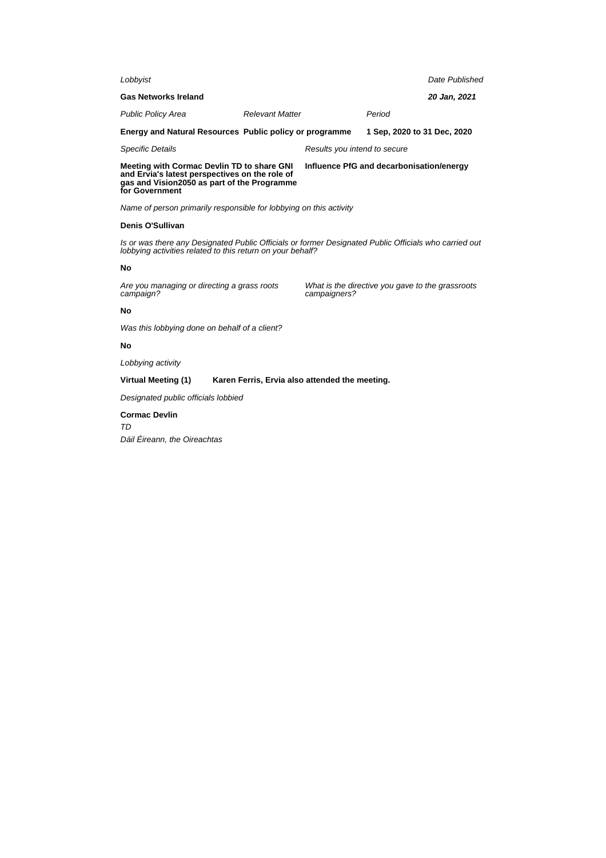| Lobbyist                                                                                                                                                            |                        |                                          |                                                  | Date Published |
|---------------------------------------------------------------------------------------------------------------------------------------------------------------------|------------------------|------------------------------------------|--------------------------------------------------|----------------|
| <b>Gas Networks Ireland</b>                                                                                                                                         |                        |                                          |                                                  | 20 Jan, 2021   |
| <b>Public Policy Area</b>                                                                                                                                           | <b>Relevant Matter</b> |                                          | Period                                           |                |
| Energy and Natural Resources Public policy or programme                                                                                                             |                        |                                          | 1 Sep, 2020 to 31 Dec, 2020                      |                |
| <b>Specific Details</b>                                                                                                                                             |                        | Results you intend to secure             |                                                  |                |
| Meeting with Cormac Devlin TD to share GNI<br>and Ervia's latest perspectives on the role of<br>gas and Vision2050 as part of the Programme<br>for Government       |                        | Influence PfG and decarbonisation/energy |                                                  |                |
| Name of person primarily responsible for lobbying on this activity                                                                                                  |                        |                                          |                                                  |                |
| Denis O'Sullivan                                                                                                                                                    |                        |                                          |                                                  |                |
| Is or was there any Designated Public Officials or former Designated Public Officials who carried out<br>lobbying activities related to this return on your behalf? |                        |                                          |                                                  |                |
| No                                                                                                                                                                  |                        |                                          |                                                  |                |
| Are you managing or directing a grass roots<br>campaign?                                                                                                            |                        | campaigners?                             | What is the directive you gave to the grassroots |                |
| <b>No</b>                                                                                                                                                           |                        |                                          |                                                  |                |
| Was this lobbying done on behalf of a client?                                                                                                                       |                        |                                          |                                                  |                |
| No                                                                                                                                                                  |                        |                                          |                                                  |                |
| Lobbying activity                                                                                                                                                   |                        |                                          |                                                  |                |

# **Virtual Meeting (1) Karen Ferris, Ervia also attended the meeting.**

Designated public officials lobbied

**Cormac Devlin** TD Dáil Éireann, the Oireachtas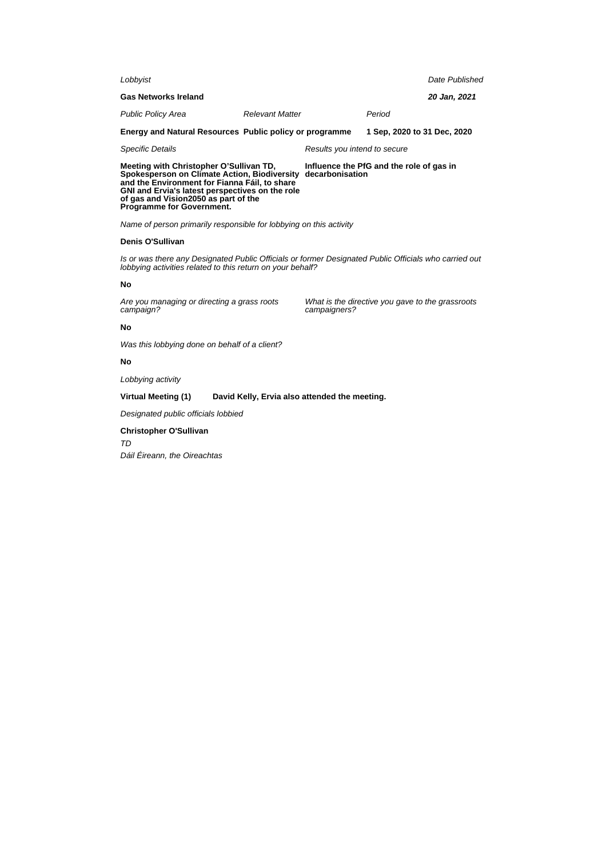| Lobbyist                                                |                              | Date Published              |  |
|---------------------------------------------------------|------------------------------|-----------------------------|--|
| <b>Gas Networks Ireland</b>                             |                              | 20 Jan, 2021                |  |
| <b>Public Policy Area</b>                               | <b>Relevant Matter</b>       | Period                      |  |
| Energy and Natural Resources Public policy or programme |                              | 1 Sep. 2020 to 31 Dec. 2020 |  |
| <b>Specific Details</b>                                 | Results you intend to secure |                             |  |

**Meeting with Christopher O'Sullivan TD, Spokesperson on Climate Action, Biodiversity decarbonisation and the Environment for Fianna Fáil, to share GNI and Ervia's latest perspectives on the role of gas and Vision2050 as part of the Programme for Government.**

Name of person primarily responsible for lobbying on this activity

## **Denis O'Sullivan**

Is or was there any Designated Public Officials or former Designated Public Officials who carried out lobbying activities related to this return on your behalf?

#### **No**

Are you managing or directing a grass roots campaign?

What is the directive you gave to the grassroots campaigners?

**Influence the PfG and the role of gas in**

## **No**

Was this lobbying done on behalf of a client?

# **No**

Lobbying activity

#### **Virtual Meeting (1) David Kelly, Ervia also attended the meeting.**

Designated public officials lobbied

#### **Christopher O'Sullivan**

TD

Dáil Éireann, the Oireachtas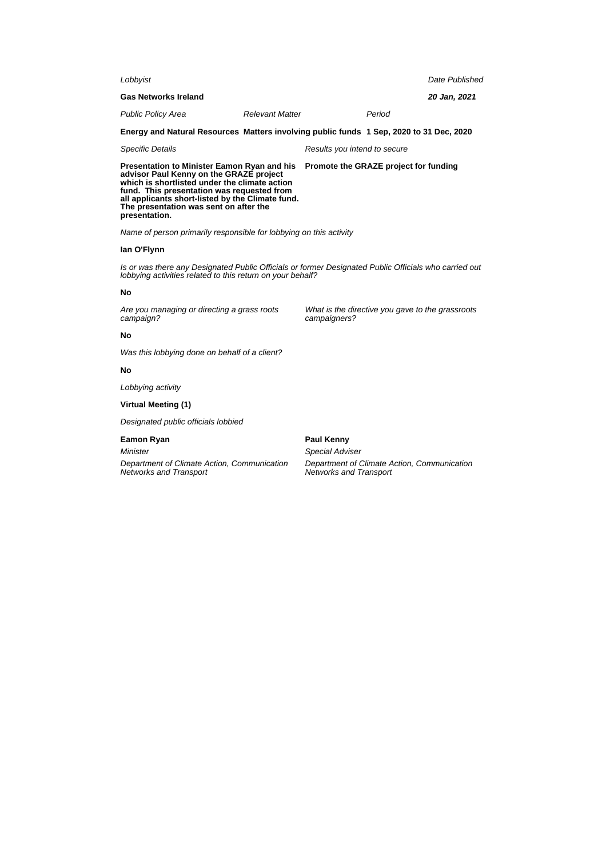| Lobbyist                                                                                                                                                                                                                                                                                                    |                        |                              |                                       | Date Published |
|-------------------------------------------------------------------------------------------------------------------------------------------------------------------------------------------------------------------------------------------------------------------------------------------------------------|------------------------|------------------------------|---------------------------------------|----------------|
| <b>Gas Networks Ireland</b>                                                                                                                                                                                                                                                                                 |                        |                              |                                       | 20 Jan, 2021   |
| <b>Public Policy Area</b>                                                                                                                                                                                                                                                                                   | <b>Relevant Matter</b> |                              | Period                                |                |
| Energy and Natural Resources Matters involving public funds 1 Sep, 2020 to 31 Dec, 2020                                                                                                                                                                                                                     |                        |                              |                                       |                |
| <b>Specific Details</b>                                                                                                                                                                                                                                                                                     |                        | Results you intend to secure |                                       |                |
| <b>Presentation to Minister Eamon Ryan and his</b><br>advisor Paul Kenny on the GRAZE project<br>which is shortlisted under the climate action<br>fund. This presentation was requested from<br>all applicants short-listed by the Climate fund.<br>The presentation was sent on after the<br>presentation. |                        |                              | Promote the GRAZE project for funding |                |

Name of person primarily responsible for lobbying on this activity

# **Ian O'Flynn**

Is or was there any Designated Public Officials or former Designated Public Officials who carried out lobbying activities related to this return on your behalf?

#### **No**

Are you managing or directing a grass roots campaign?

What is the directive you gave to the grassroots campaigners?

# **No**

Was this lobbying done on behalf of a client?

### **No**

Lobbying activity

#### **Virtual Meeting (1)**

Designated public officials lobbied

# **Eamon Ryan**

Minister

Department of Climate Action, Communication Networks and Transport

**Paul Kenny**

Special Adviser

Department of Climate Action, Communication Networks and Transport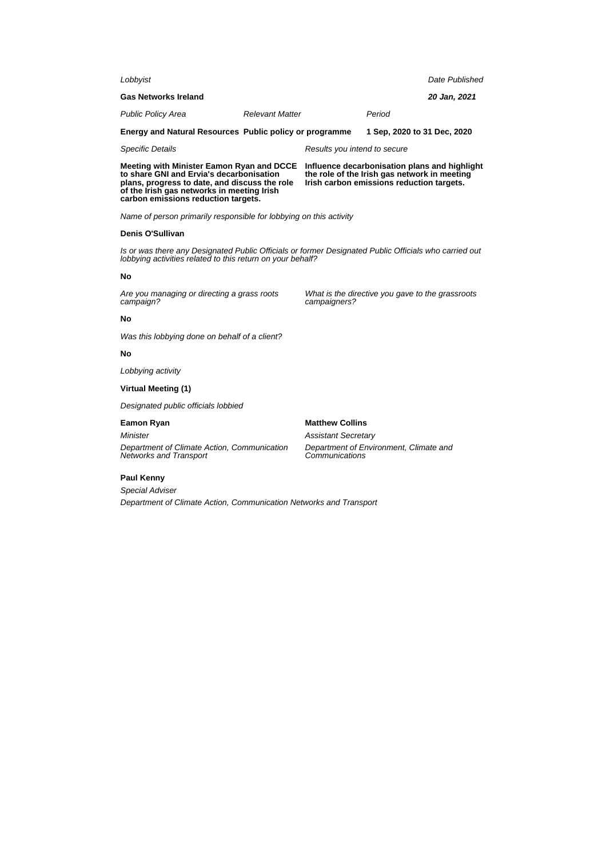| Date Published                                                                                                                                                      |  |  |  |
|---------------------------------------------------------------------------------------------------------------------------------------------------------------------|--|--|--|
| 20 Jan, 2021                                                                                                                                                        |  |  |  |
| Period                                                                                                                                                              |  |  |  |
| 1 Sep, 2020 to 31 Dec, 2020                                                                                                                                         |  |  |  |
| Results you intend to secure                                                                                                                                        |  |  |  |
| Influence decarbonisation plans and highlight<br>the role of the Irish gas network in meeting<br>Irish carbon emissions reduction targets.                          |  |  |  |
|                                                                                                                                                                     |  |  |  |
|                                                                                                                                                                     |  |  |  |
| Is or was there any Designated Public Officials or former Designated Public Officials who carried out<br>lobbying activities related to this return on your behalf? |  |  |  |
|                                                                                                                                                                     |  |  |  |
| What is the directive you gave to the grassroots                                                                                                                    |  |  |  |
|                                                                                                                                                                     |  |  |  |
|                                                                                                                                                                     |  |  |  |
|                                                                                                                                                                     |  |  |  |
|                                                                                                                                                                     |  |  |  |
|                                                                                                                                                                     |  |  |  |
|                                                                                                                                                                     |  |  |  |
| <b>Assistant Secretary</b><br>Department of Environment, Climate and<br>Department of Climate Action, Communication Networks and Transport                          |  |  |  |
|                                                                                                                                                                     |  |  |  |